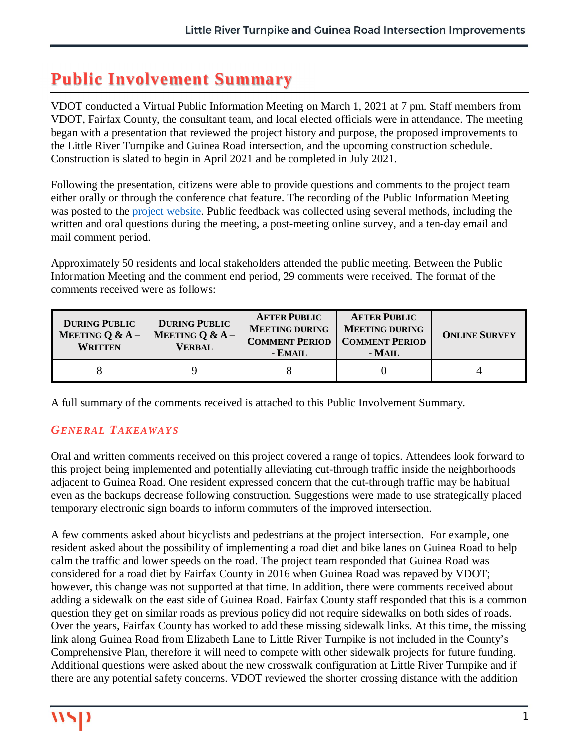# **Public Involvement Summary**

VDOT conducted a Virtual Public Information Meeting on March 1, 2021 at 7 pm. Staff members from VDOT, Fairfax County, the consultant team, and local elected officials were in attendance. The meeting began with a presentation that reviewed the project history and purpose, the proposed improvements to the Little River Turnpike and Guinea Road intersection, and the upcoming construction schedule. Construction is slated to begin in April 2021 and be completed in July 2021.

Following the presentation, citizens were able to provide questions and comments to the project team either orally or through the conference chat feature. The recording of the Public Information Meeting was posted to the project website. Public feedback was collected using several methods, including the written and oral questions during the meeting, a post-meeting online survey, and a ten-day email and mail comment period.

Approximately 50 residents and local stakeholders attended the public meeting. Between the Public Information Meeting and the comment end period, 29 comments were received. The format of the comments received were as follows:

| <b>DURING PUBLIC</b><br><b>MEETING Q &amp; A -</b><br><b>WRITTEN</b> | <b>DURING PUBLIC</b><br>MEETING Q & $A -$<br><b>VERBAL</b> | <b>AFTER PUBLIC</b><br><b>MEETING DURING</b><br><b>COMMENT PERIOD</b><br>- EMAIL | <b>AFTER PUBLIC</b><br><b>MEETING DURING</b><br><b>COMMENT PERIOD</b><br>- MAIL | <b>ONLINE SURVEY</b> |
|----------------------------------------------------------------------|------------------------------------------------------------|----------------------------------------------------------------------------------|---------------------------------------------------------------------------------|----------------------|
|                                                                      |                                                            |                                                                                  |                                                                                 |                      |

A full summary of the comments received is attached to this Public Involvement Summary.

#### *GENERAL TAKEAWAYS*

Oral and written comments received on this project covered a range of topics. Attendees look forward to this project being implemented and potentially alleviating cut-through traffic inside the neighborhoods adjacent to Guinea Road. One resident expressed concern that the cut-through traffic may be habitual even as the backups decrease following construction. Suggestions were made to use strategically placed temporary electronic sign boards to inform commuters of the improved intersection.

A few comments asked about bicyclists and pedestrians at the project intersection. For example, one resident asked about the possibility of implementing a road diet and bike lanes on Guinea Road to help calm the traffic and lower speeds on the road. The project team responded that Guinea Road was considered for a road diet by Fairfax County in 2016 when Guinea Road was repaved by VDOT; however, this change was not supported at that time. In addition, there were comments received about adding a sidewalk on the east side of Guinea Road. Fairfax County staff responded that this is a common question they get on similar roads as previous policy did not require sidewalks on both sides of roads. Over the years, Fairfax County has worked to add these missing sidewalk links. At this time, the missing link along Guinea Road from Elizabeth Lane to Little River Turnpike is not included in the County's Comprehensive Plan, therefore it will need to compete with other sidewalk projects for future funding. Additional questions were asked about the new crosswalk configuration at Little River Turnpike and if there are any potential safety concerns. VDOT reviewed the shorter crossing distance with the addition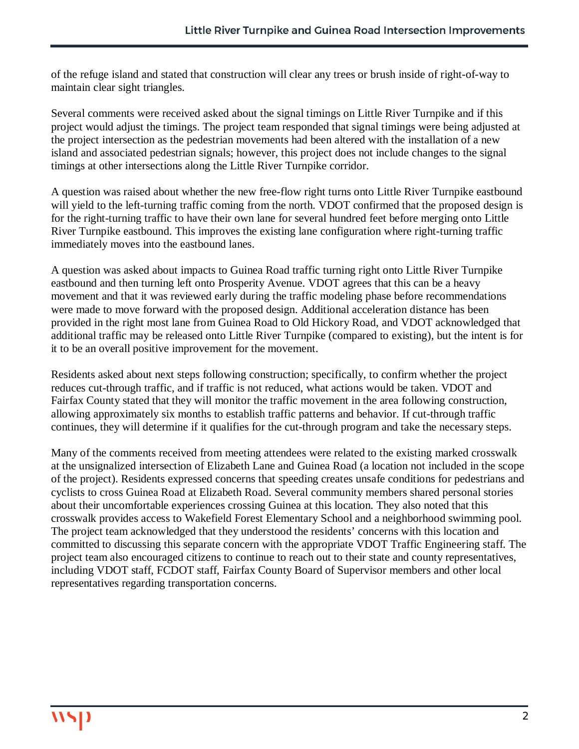of the refuge island and stated that construction will clear any trees or brush inside of right-of-way to maintain clear sight triangles.

Several comments were received asked about the signal timings on Little River Turnpike and if this project would adjust the timings. The project team responded that signal timings were being adjusted at the project intersection as the pedestrian movements had been altered with the installation of a new island and associated pedestrian signals; however, this project does not include changes to the signal timings at other intersections along the Little River Turnpike corridor.

A question was raised about whether the new free-flow right turns onto Little River Turnpike eastbound will yield to the left-turning traffic coming from the north. VDOT confirmed that the proposed design is for the right-turning traffic to have their own lane for several hundred feet before merging onto Little River Turnpike eastbound. This improves the existing lane configuration where right-turning traffic immediately moves into the eastbound lanes.

A question was asked about impacts to Guinea Road traffic turning right onto Little River Turnpike eastbound and then turning left onto Prosperity Avenue. VDOT agrees that this can be a heavy movement and that it was reviewed early during the traffic modeling phase before recommendations were made to move forward with the proposed design. Additional acceleration distance has been provided in the right most lane from Guinea Road to Old Hickory Road, and VDOT acknowledged that additional traffic may be released onto Little River Turnpike (compared to existing), but the intent is for it to be an overall positive improvement for the movement.

Residents asked about next steps following construction; specifically, to confirm whether the project reduces cut-through traffic, and if traffic is not reduced, what actions would be taken. VDOT and Fairfax County stated that they will monitor the traffic movement in the area following construction, allowing approximately six months to establish traffic patterns and behavior. If cut-through traffic continues, they will determine if it qualifies for the cut-through program and take the necessary steps.

Many of the comments received from meeting attendees were related to the existing marked crosswalk at the unsignalized intersection of Elizabeth Lane and Guinea Road (a location not included in the scope of the project). Residents expressed concerns that speeding creates unsafe conditions for pedestrians and cyclists to cross Guinea Road at Elizabeth Road. Several community members shared personal stories about their uncomfortable experiences crossing Guinea at this location. They also noted that this crosswalk provides access to Wakefield Forest Elementary School and a neighborhood swimming pool. The project team acknowledged that they understood the residents' concerns with this location and committed to discussing this separate concern with the appropriate VDOT Traffic Engineering staff. The project team also encouraged citizens to continue to reach out to their state and county representatives, including VDOT staff, FCDOT staff, Fairfax County Board of Supervisor members and other local representatives regarding transportation concerns.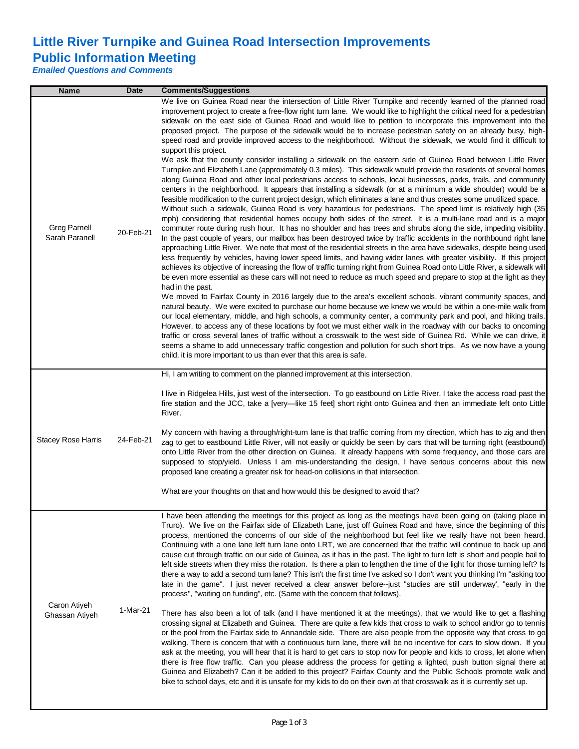## **Little River Turnpike and Guinea Road Intersection Improvements Public Information Meeting**

*Emailed Questions and Comments*

| <b>Name</b>                           | <b>Date</b> | <b>Comments/Suggestions</b>                                                                                                                                                                                                                                                                                                                                                                                                                                                                                                                                                                                                                                                                                                                                                                                                                                                                                                                                                                                                                                                                                                                                                                                                                                                                                                                                                                                                                                                                                                                                                                                                                                                                                                                                                                                                                                                                                                                                                                                                                                                                                                                                                                                                                                                                                                                                                                                                                                                                                                                                                                                                                                                                                                                                                                                                                                                                                                                                                                                                          |
|---------------------------------------|-------------|--------------------------------------------------------------------------------------------------------------------------------------------------------------------------------------------------------------------------------------------------------------------------------------------------------------------------------------------------------------------------------------------------------------------------------------------------------------------------------------------------------------------------------------------------------------------------------------------------------------------------------------------------------------------------------------------------------------------------------------------------------------------------------------------------------------------------------------------------------------------------------------------------------------------------------------------------------------------------------------------------------------------------------------------------------------------------------------------------------------------------------------------------------------------------------------------------------------------------------------------------------------------------------------------------------------------------------------------------------------------------------------------------------------------------------------------------------------------------------------------------------------------------------------------------------------------------------------------------------------------------------------------------------------------------------------------------------------------------------------------------------------------------------------------------------------------------------------------------------------------------------------------------------------------------------------------------------------------------------------------------------------------------------------------------------------------------------------------------------------------------------------------------------------------------------------------------------------------------------------------------------------------------------------------------------------------------------------------------------------------------------------------------------------------------------------------------------------------------------------------------------------------------------------------------------------------------------------------------------------------------------------------------------------------------------------------------------------------------------------------------------------------------------------------------------------------------------------------------------------------------------------------------------------------------------------------------------------------------------------------------------------------------------------|
| <b>Greg Parnell</b><br>Sarah Paranell | 20-Feb-21   | We live on Guinea Road near the intersection of Little River Turnpike and recently learned of the planned road<br>improvement project to create a free-flow right turn lane. We would like to highlight the critical need for a pedestrian<br>sidewalk on the east side of Guinea Road and would like to petition to incorporate this improvement into the<br>proposed project. The purpose of the sidewalk would be to increase pedestrian safety on an already busy, high-<br>speed road and provide improved access to the neighborhood. Without the sidewalk, we would find it difficult to<br>support this project.<br>We ask that the county consider installing a sidewalk on the eastern side of Guinea Road between Little River<br>Turnpike and Elizabeth Lane (approximately 0.3 miles). This sidewalk would provide the residents of several homes<br>along Guinea Road and other local pedestrians access to schools, local businesses, parks, trails, and community<br>centers in the neighborhood. It appears that installing a sidewalk (or at a minimum a wide shoulder) would be a<br>feasible modification to the current project design, which eliminates a lane and thus creates some unutilized space.<br>Without such a sidewalk, Guinea Road is very hazardous for pedestrians. The speed limit is relatively high (35)<br>mph) considering that residential homes occupy both sides of the street. It is a multi-lane road and is a major<br>commuter route during rush hour. It has no shoulder and has trees and shrubs along the side, impeding visibility.<br>In the past couple of years, our mailbox has been destroyed twice by traffic accidents in the northbound right lane<br>approaching Little River. We note that most of the residential streets in the area have sidewalks, despite being used<br>less frequently by vehicles, having lower speed limits, and having wider lanes with greater visibility. If this project<br>achieves its objective of increasing the flow of traffic turning right from Guinea Road onto Little River, a sidewalk will<br>be even more essential as these cars will not need to reduce as much speed and prepare to stop at the light as they<br>had in the past.<br>We moved to Fairfax County in 2016 largely due to the area's excellent schools, vibrant community spaces, and<br>natural beauty. We were excited to purchase our home because we knew we would be within a one-mile walk from<br>our local elementary, middle, and high schools, a community center, a community park and pool, and hiking trails.<br>However, to access any of these locations by foot we must either walk in the roadway with our backs to oncoming<br>traffic or cross several lanes of traffic without a crosswalk to the west side of Guinea Rd. While we can drive, it<br>seems a shame to add unnecessary traffic congestion and pollution for such short trips. As we now have a young<br>child, it is more important to us than ever that this area is safe. |
| <b>Stacey Rose Harris</b>             | 24-Feb-21   | Hi, I am writing to comment on the planned improvement at this intersection.<br>I live in Ridgelea Hills, just west of the intersection. To go eastbound on Little River, I take the access road past the<br>fire station and the JCC, take a [very-like 15 feet] short right onto Guinea and then an immediate left onto Little<br>River.<br>My concern with having a through/right-turn lane is that traffic coming from my direction, which has to zig and then<br>zag to get to eastbound Little River, will not easily or quickly be seen by cars that will be turning right (eastbound)<br>onto Little River from the other direction on Guinea. It already happens with some frequency, and those cars are<br>supposed to stop/yield. Unless I am mis-understanding the design, I have serious concerns about this new<br>proposed lane creating a greater risk for head-on collisions in that intersection.<br>What are your thoughts on that and how would this be designed to avoid that?                                                                                                                                                                                                                                                                                                                                                                                                                                                                                                                                                                                                                                                                                                                                                                                                                                                                                                                                                                                                                                                                                                                                                                                                                                                                                                                                                                                                                                                                                                                                                                                                                                                                                                                                                                                                                                                                                                                                                                                                                                  |
| Caron Atiyeh<br>Ghassan Atiyeh        | 1-Mar-21    | I have been attending the meetings for this project as long as the meetings have been going on (taking place in<br>Truro). We live on the Fairfax side of Elizabeth Lane, just off Guinea Road and have, since the beginning of this<br>process, mentioned the concerns of our side of the neighborhood but feel like we really have not been heard.<br>Continuing with a one lane left turn lane onto LRT, we are concerned that the traffic will continue to back up and<br>cause cut through traffic on our side of Guinea, as it has in the past. The light to turn left is short and people bail to<br>left side streets when they miss the rotation. Is there a plan to lengthen the time of the light for those turning left? Is<br>there a way to add a second turn lane? This isn't the first time I've asked so I don't want you thinking I'm "asking too<br>late in the game". I just never received a clear answer before--just "studies are still underway", "early in the<br>process", "waiting on funding", etc. (Same with the concern that follows).<br>There has also been a lot of talk (and I have mentioned it at the meetings), that we would like to get a flashing<br>crossing signal at Elizabeth and Guinea. There are quite a few kids that cross to walk to school and/or go to tennis<br>or the pool from the Fairfax side to Annandale side. There are also people from the opposite way that cross to go<br>walking. There is concern that with a continuous turn lane, there will be no incentive for cars to slow down. If you<br>ask at the meeting, you will hear that it is hard to get cars to stop now for people and kids to cross, let alone when<br>there is free flow traffic. Can you please address the process for getting a lighted, push button signal there at<br>Guinea and Elizabeth? Can it be added to this project? Fairfax County and the Public Schools promote walk and<br>bike to school days, etc and it is unsafe for my kids to do on their own at that crosswalk as it is currently set up.                                                                                                                                                                                                                                                                                                                                                                                                                                                                                                                                                                                                                                                                                                                                                                                                                                                                                                                                                                             |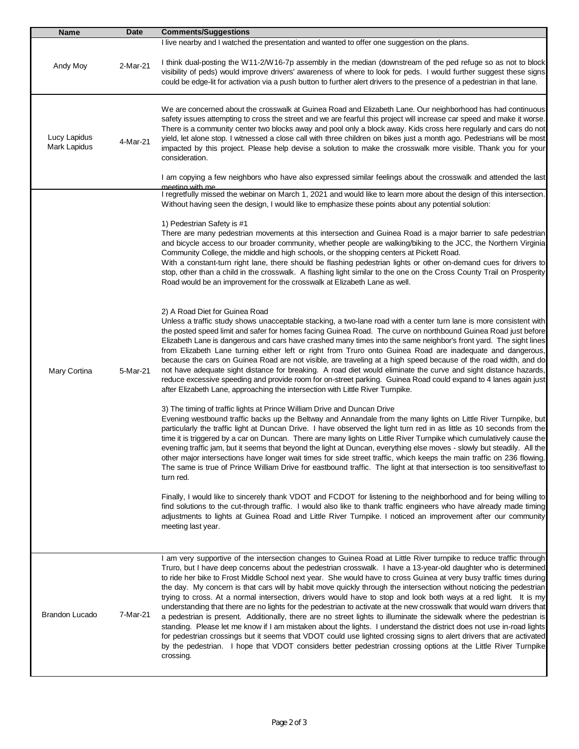| <b>Name</b>                              | <b>Date</b> | <b>Comments/Suggestions</b>                                                                                                                                                                                                                                                                                                                                                                                                                                                                                                                                                                                                                                                                                                                                                                                                                                                                                                                                                                                                                                                                                                                                                                                                                 |
|------------------------------------------|-------------|---------------------------------------------------------------------------------------------------------------------------------------------------------------------------------------------------------------------------------------------------------------------------------------------------------------------------------------------------------------------------------------------------------------------------------------------------------------------------------------------------------------------------------------------------------------------------------------------------------------------------------------------------------------------------------------------------------------------------------------------------------------------------------------------------------------------------------------------------------------------------------------------------------------------------------------------------------------------------------------------------------------------------------------------------------------------------------------------------------------------------------------------------------------------------------------------------------------------------------------------|
| Andy Moy                                 | 2-Mar-21    | I live nearby and I watched the presentation and wanted to offer one suggestion on the plans.<br>I think dual-posting the W11-2/W16-7p assembly in the median (downstream of the ped refuge so as not to block<br>visibility of peds) would improve drivers' awareness of where to look for peds. I would further suggest these signs<br>could be edge-lit for activation via a push button to further alert drivers to the presence of a pedestrian in that lane.                                                                                                                                                                                                                                                                                                                                                                                                                                                                                                                                                                                                                                                                                                                                                                          |
| Lucy Lapidus<br>4-Mar-21<br>Mark Lapidus |             | We are concerned about the crosswalk at Guinea Road and Elizabeth Lane. Our neighborhood has had continuous<br>safety issues attempting to cross the street and we are fearful this project will increase car speed and make it worse.<br>There is a community center two blocks away and pool only a block away. Kids cross here regularly and cars do not<br>yield, let alone stop. I witnessed a close call with three children on bikes just a month ago. Pedestrians will be most<br>impacted by this project. Please help devise a solution to make the crosswalk more visible. Thank you for your<br>consideration.                                                                                                                                                                                                                                                                                                                                                                                                                                                                                                                                                                                                                  |
|                                          |             | I am copying a few neighbors who have also expressed similar feelings about the crosswalk and attended the last<br>meeting with me<br>I regretfully missed the webinar on March 1, 2021 and would like to learn more about the design of this intersection.<br>Without having seen the design, I would like to emphasize these points about any potential solution:                                                                                                                                                                                                                                                                                                                                                                                                                                                                                                                                                                                                                                                                                                                                                                                                                                                                         |
|                                          |             | 1) Pedestrian Safety is #1<br>There are many pedestrian movements at this intersection and Guinea Road is a major barrier to safe pedestrian<br>and bicycle access to our broader community, whether people are walking/biking to the JCC, the Northern Virginia<br>Community College, the middle and high schools, or the shopping centers at Pickett Road.<br>With a constant-turn right lane, there should be flashing pedestrian lights or other on-demand cues for drivers to<br>stop, other than a child in the crosswalk. A flashing light similar to the one on the Cross County Trail on Prosperity<br>Road would be an improvement for the crosswalk at Elizabeth Lane as well.                                                                                                                                                                                                                                                                                                                                                                                                                                                                                                                                                   |
| Mary Cortina                             | 5-Mar-21    | 2) A Road Diet for Guinea Road<br>Unless a traffic study shows unacceptable stacking, a two-lane road with a center turn lane is more consistent with<br>the posted speed limit and safer for homes facing Guinea Road. The curve on northbound Guinea Road just before<br>Elizabeth Lane is dangerous and cars have crashed many times into the same neighbor's front yard. The sight lines<br>from Elizabeth Lane turning either left or right from Truro onto Guinea Road are inadequate and dangerous,<br>because the cars on Guinea Road are not visible, are traveling at a high speed because of the road width, and do<br>not have adequate sight distance for breaking. A road diet would eliminate the curve and sight distance hazards,<br>reduce excessive speeding and provide room for on-street parking. Guinea Road could expand to 4 lanes again just<br>after Elizabeth Lane, approaching the intersection with Little River Turnpike.                                                                                                                                                                                                                                                                                    |
|                                          |             | 3) The timing of traffic lights at Prince William Drive and Duncan Drive<br>Evening westbound traffic backs up the Beltway and Annandale from the many lights on Little River Turnpike, but<br>particularly the traffic light at Duncan Drive. I have observed the light turn red in as little as 10 seconds from the<br>time it is triggered by a car on Duncan. There are many lights on Little River Turnpike which cumulatively cause the<br>evening traffic jam, but it seems that beyond the light at Duncan, everything else moves - slowly but steadily. All the<br>other major intersections have longer wait times for side street traffic, which keeps the main traffic on 236 flowing.<br>The same is true of Prince William Drive for eastbound traffic. The light at that intersection is too sensitive/fast to<br>turn red.                                                                                                                                                                                                                                                                                                                                                                                                  |
|                                          |             | Finally, I would like to sincerely thank VDOT and FCDOT for listening to the neighborhood and for being willing to<br>find solutions to the cut-through traffic. I would also like to thank traffic engineers who have already made timing<br>adjustments to lights at Guinea Road and Little River Turnpike. I noticed an improvement after our community<br>meeting last year.                                                                                                                                                                                                                                                                                                                                                                                                                                                                                                                                                                                                                                                                                                                                                                                                                                                            |
| <b>Brandon Lucado</b>                    | 7-Mar-21    | I am very supportive of the intersection changes to Guinea Road at Little River turnpike to reduce traffic through<br>Truro, but I have deep concerns about the pedestrian crosswalk. I have a 13-year-old daughter who is determined<br>to ride her bike to Frost Middle School next year. She would have to cross Guinea at very busy traffic times during<br>the day. My concern is that cars will by habit move quickly through the intersection without noticing the pedestrian<br>trying to cross. At a normal intersection, drivers would have to stop and look both ways at a red light. It is my<br>understanding that there are no lights for the pedestrian to activate at the new crosswalk that would warn drivers that<br>a pedestrian is present. Additionally, there are no street lights to illuminate the sidewalk where the pedestrian is<br>standing. Please let me know if I am mistaken about the lights. I understand the district does not use in-road lights<br>for pedestrian crossings but it seems that VDOT could use lighted crossing signs to alert drivers that are activated<br>by the pedestrian. I hope that VDOT considers better pedestrian crossing options at the Little River Turnpike<br>crossing. |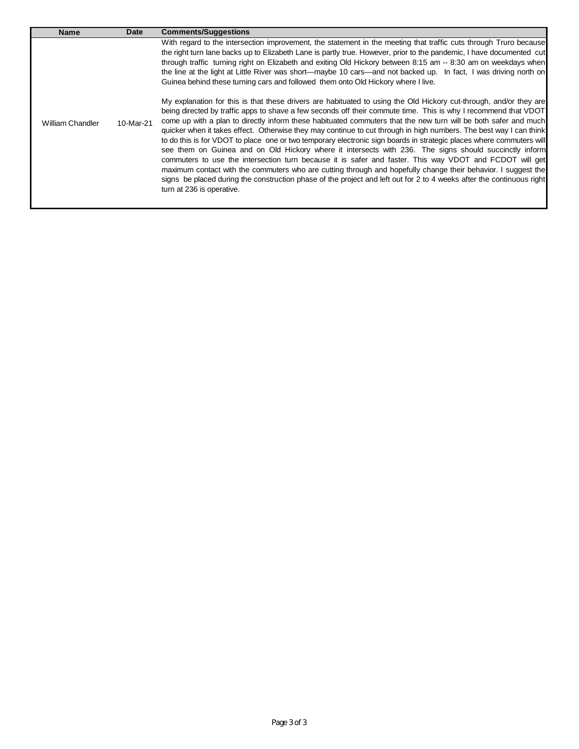| <b>Name</b>      | <b>Date</b> | <b>Comments/Suggestions</b>                                                                                                                                                                                                                                                                                                                                                                                                                                                                                                                                                                                                                                                                                                                                                                                                                                                                                                                                                                                                                                                                                                                                                                                                                                                                                                                                                                                                                                                                                                                                                                                                                                                |
|------------------|-------------|----------------------------------------------------------------------------------------------------------------------------------------------------------------------------------------------------------------------------------------------------------------------------------------------------------------------------------------------------------------------------------------------------------------------------------------------------------------------------------------------------------------------------------------------------------------------------------------------------------------------------------------------------------------------------------------------------------------------------------------------------------------------------------------------------------------------------------------------------------------------------------------------------------------------------------------------------------------------------------------------------------------------------------------------------------------------------------------------------------------------------------------------------------------------------------------------------------------------------------------------------------------------------------------------------------------------------------------------------------------------------------------------------------------------------------------------------------------------------------------------------------------------------------------------------------------------------------------------------------------------------------------------------------------------------|
| William Chandler | 10-Mar-21   | With regard to the intersection improvement, the statement in the meeting that traffic cuts through Truro because<br>the right turn lane backs up to Elizabeth Lane is partly true. However, prior to the pandemic, I have documented cut<br>through traffic turning right on Elizabeth and exiting Old Hickory between 8:15 am -- 8:30 am on weekdays when<br>the line at the light at Little River was short—maybe 10 cars—and not backed up. In fact, I was driving north on<br>Guinea behind these turning cars and followed them onto Old Hickory where I live.<br>My explanation for this is that these drivers are habituated to using the Old Hickory cut-through, and/or they are<br>being directed by traffic apps to shave a few seconds off their commute time. This is why I recommend that VDOT<br>come up with a plan to directly inform these habituated commuters that the new turn will be both safer and much<br>quicker when it takes effect. Otherwise they may continue to cut through in high numbers. The best way I can think<br>to do this is for VDOT to place one or two temporary electronic sign boards in strategic places where commuters will<br>see them on Guinea and on Old Hickory where it intersects with 236. The signs should succinctly inform<br>commuters to use the intersection turn because it is safer and faster. This way VDOT and FCDOT will get<br>maximum contact with the commuters who are cutting through and hopefully change their behavior. I suggest the<br>signs be placed during the construction phase of the project and left out for 2 to 4 weeks after the continuous right<br>turn at 236 is operative. |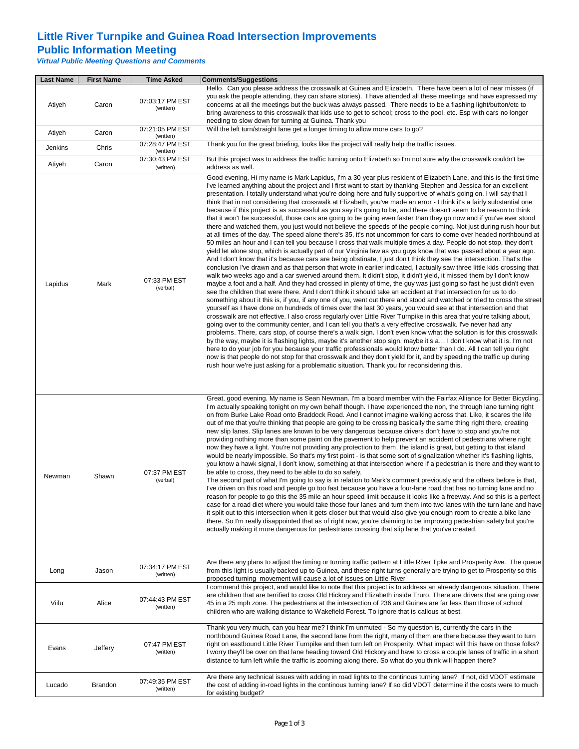## **Little River Turnpike and Guinea Road Intersection Improvements**

#### **Public Information Meeting**

*Virtual Public Meeting Questions and Comments*

| <b>Last Name</b> | <b>First Name</b> | <b>Time Asked</b>            | <b>Comments/Suggestions</b>                                                                                                                                                                                                                                                                                                                                                                                                                                                                                                                                                                                                                                                                                                                                                                                                                                                                                                                                                                                                                                                                                                                                                                                                                                                                                                                                                                                                                                                                                                                                                                                                                                                                                                                                                                                                                                                                                                                                                                                                                                                                                                                                                                                                                                                                                                                                                                                                                                                                                                                                                                                                                                                                                                                                                                                                                                                                                                                   |  |
|------------------|-------------------|------------------------------|-----------------------------------------------------------------------------------------------------------------------------------------------------------------------------------------------------------------------------------------------------------------------------------------------------------------------------------------------------------------------------------------------------------------------------------------------------------------------------------------------------------------------------------------------------------------------------------------------------------------------------------------------------------------------------------------------------------------------------------------------------------------------------------------------------------------------------------------------------------------------------------------------------------------------------------------------------------------------------------------------------------------------------------------------------------------------------------------------------------------------------------------------------------------------------------------------------------------------------------------------------------------------------------------------------------------------------------------------------------------------------------------------------------------------------------------------------------------------------------------------------------------------------------------------------------------------------------------------------------------------------------------------------------------------------------------------------------------------------------------------------------------------------------------------------------------------------------------------------------------------------------------------------------------------------------------------------------------------------------------------------------------------------------------------------------------------------------------------------------------------------------------------------------------------------------------------------------------------------------------------------------------------------------------------------------------------------------------------------------------------------------------------------------------------------------------------------------------------------------------------------------------------------------------------------------------------------------------------------------------------------------------------------------------------------------------------------------------------------------------------------------------------------------------------------------------------------------------------------------------------------------------------------------------------------------------------|--|
| Atiyeh           | Caron             | 07:03:17 PM EST<br>(written) | Hello. Can you please address the crosswalk at Guinea and Elizabeth. There have been a lot of near misses (if<br>you ask the people attending, they can share stories). I have attended all these meetings and have expressed my<br>concerns at all the meetings but the buck was always passed. There needs to be a flashing light/button/etc to<br>bring awareness to this crosswalk that kids use to get to school; cross to the pool, etc. Esp with cars no longer<br>needing to slow down for turning at Guinea. Thank you                                                                                                                                                                                                                                                                                                                                                                                                                                                                                                                                                                                                                                                                                                                                                                                                                                                                                                                                                                                                                                                                                                                                                                                                                                                                                                                                                                                                                                                                                                                                                                                                                                                                                                                                                                                                                                                                                                                                                                                                                                                                                                                                                                                                                                                                                                                                                                                                               |  |
| Atiyeh           | Caron             | 07:21:05 PM EST<br>(written) | Will the left turn/straight lane get a longer timing to allow more cars to go?                                                                                                                                                                                                                                                                                                                                                                                                                                                                                                                                                                                                                                                                                                                                                                                                                                                                                                                                                                                                                                                                                                                                                                                                                                                                                                                                                                                                                                                                                                                                                                                                                                                                                                                                                                                                                                                                                                                                                                                                                                                                                                                                                                                                                                                                                                                                                                                                                                                                                                                                                                                                                                                                                                                                                                                                                                                                |  |
| Jenkins          | Chris             | 07:28:47 PM EST<br>(written) | Thank you for the great briefing, looks like the project will really help the traffic issues.                                                                                                                                                                                                                                                                                                                                                                                                                                                                                                                                                                                                                                                                                                                                                                                                                                                                                                                                                                                                                                                                                                                                                                                                                                                                                                                                                                                                                                                                                                                                                                                                                                                                                                                                                                                                                                                                                                                                                                                                                                                                                                                                                                                                                                                                                                                                                                                                                                                                                                                                                                                                                                                                                                                                                                                                                                                 |  |
| Atiyeh           | Caron             | 07:30:43 PM EST<br>(written) | But this project was to address the traffic turning onto Elizabeth so I'm not sure why the crosswalk couldn't be<br>address as well.                                                                                                                                                                                                                                                                                                                                                                                                                                                                                                                                                                                                                                                                                                                                                                                                                                                                                                                                                                                                                                                                                                                                                                                                                                                                                                                                                                                                                                                                                                                                                                                                                                                                                                                                                                                                                                                                                                                                                                                                                                                                                                                                                                                                                                                                                                                                                                                                                                                                                                                                                                                                                                                                                                                                                                                                          |  |
| Lapidus          | Mark              | 07:33 PM EST<br>(verbal)     | Good evening, Hi my name is Mark Lapidus, I'm a 30-year plus resident of Elizabeth Lane, and this is the first time<br>I've learned anything about the project and I first want to start by thanking Stephen and Jessica for an excellent<br>presentation. I totally understand what you're doing here and fully supportive of what's going on. I will say that I<br>think that in not considering that crosswalk at Elizabeth, you've made an error - I think it's a fairly substantial one<br>because if this project is as successful as you say it's going to be, and there doesn't seem to be reason to think<br>that it won't be successful, those cars are going to be going even faster than they go now and if you've ever stood<br>there and watched them, you just would not believe the speeds of the people coming. Not just during rush hour but<br>at all times of the day. The speed alone there's 35, it's not uncommon for cars to come over headed northbound at<br>50 miles an hour and I can tell you because I cross that walk multiple times a day. People do not stop, they don't<br>yield let alone stop, which is actually part of our Virginia law as you guys know that was passed about a year ago.<br>And I don't know that it's because cars are being obstinate, I just don't think they see the intersection. That's the<br>conclusion I've drawn and as that person that wrote in earlier indicated, I actually saw three little kids crossing that<br>walk two weeks ago and a car swerved around them. It didn't stop, it didn't yield, it missed them by I don't know<br>maybe a foot and a half. And they had crossed in plenty of time, the guy was just going so fast he just didn't even<br>see the children that were there. And I don't think it should take an accident at that intersection for us to do<br>something about it this is, if you, if any one of you, went out there and stood and watched or tried to cross the street<br>yourself as I have done on hundreds of times over the last 30 years, you would see at that intersection and that<br>crosswalk are not effective. I also cross regularly over Little River Turnpike in this area that you're talking about,<br>going over to the community center, and I can tell you that's a very effective crosswalk. I've never had any<br>problems. There, cars stop, of course there's a walk sign. I don't even know what the solution is for this crosswalk<br>by the way, maybe it is flashing lights, maybe it's another stop sign, maybe it's a I don't know what it is. I'm not<br>here to do your job for you because your traffic professionals would know better than I do. All I can tell you right<br>now is that people do not stop for that crosswalk and they don't yield for it, and by speeding the traffic up during<br>rush hour we're just asking for a problematic situation. Thank you for reconsidering this. |  |
| Newman           | Shawn             | 07:37 PM EST<br>(verbal)     | Great, good evening. My name is Sean Newman. I'm a board member with the Fairfax Alliance for Better Bicycling.<br>I'm actually speaking tonight on my own behalf though. I have experienced the non, the through lane turning right<br>on from Burke Lake Road onto Braddock Road. And I cannot imagine walking across that. Like, it scares the life<br>out of me that you're thinking that people are going to be crossing basically the same thing right there, creating<br>new slip lanes. Slip lanes are known to be very dangerous because drivers don't have to stop and you're not<br>providing nothing more than some paint on the pavement to help prevent an accident of pedestrians where right<br>now they have a light. You're not providing any protection to them, the island is great, but getting to that island<br>would be nearly impossible. So that's my first point - is that some sort of signalization whether it's flashing lights,<br>you know a hawk signal, I don't know, something at that intersection where if a pedestrian is there and they want to<br>be able to cross, they need to be able to do so safely.<br>The second part of what I'm going to say is in relation to Mark's comment previously and the others before is that,<br>I've driven on this road and people go too fast because you have a four-lane road that has no turning lane and no<br>reason for people to go this the 35 mile an hour speed limit because it looks like a freeway. And so this is a perfect<br>case for a road diet where you would take those four lanes and turn them into two lanes with the turn lane and have<br>it split out to this intersection when it gets closer but that would also give you enough room to create a bike lane<br>there. So I'm really disappointed that as of right now, you're claiming to be improving pedestrian safety but you're<br>actually making it more dangerous for pedestrians crossing that slip lane that you've created.                                                                                                                                                                                                                                                                                                                                                                                                                                                                                                                                                                                                                                                                                                                                                                                                                                                                                                                                              |  |
| Long             | Jason             | 07:34:17 PM EST<br>(written) | Are there any plans to adjust the timing or turning traffic pattern at Little River Tpke and Prosperity Ave. The queue<br>from this light is usually backed up to Guinea, and these right turns generally are trying to get to Prosperity so this<br>proposed turning movement will cause a lot of issues on Little River                                                                                                                                                                                                                                                                                                                                                                                                                                                                                                                                                                                                                                                                                                                                                                                                                                                                                                                                                                                                                                                                                                                                                                                                                                                                                                                                                                                                                                                                                                                                                                                                                                                                                                                                                                                                                                                                                                                                                                                                                                                                                                                                                                                                                                                                                                                                                                                                                                                                                                                                                                                                                     |  |
| Viilu            | Alice             | 07:44:43 PM EST<br>(written) | I commend this project, and would like to note that this project is to address an already dangerous situation. There<br>are children that are terrified to cross Old Hickory and Elizabeth inside Truro. There are drivers that are going over<br>45 in a 25 mph zone. The pedestrians at the intersection of 236 and Guinea are far less than those of school<br>children who are walking distance to Wakefield Forest. To ignore that is callous at best.                                                                                                                                                                                                                                                                                                                                                                                                                                                                                                                                                                                                                                                                                                                                                                                                                                                                                                                                                                                                                                                                                                                                                                                                                                                                                                                                                                                                                                                                                                                                                                                                                                                                                                                                                                                                                                                                                                                                                                                                                                                                                                                                                                                                                                                                                                                                                                                                                                                                                   |  |
| Evans            | Jeffery           | 07:47 PM EST<br>(written)    | Thank you very much, can you hear me? I think I'm unmuted - So my question is, currently the cars in the<br>northbound Guinea Road Lane, the second lane from the right, many of them are there because they want to turn<br>right on eastbound Little River Turnpike and then turn left on Prosperity. What impact will this have on those folks?<br>I worry they'll be over on that lane heading toward Old Hickory and have to cross a couple lanes of traffic in a short<br>distance to turn left while the traffic is zooming along there. So what do you think will happen there?                                                                                                                                                                                                                                                                                                                                                                                                                                                                                                                                                                                                                                                                                                                                                                                                                                                                                                                                                                                                                                                                                                                                                                                                                                                                                                                                                                                                                                                                                                                                                                                                                                                                                                                                                                                                                                                                                                                                                                                                                                                                                                                                                                                                                                                                                                                                                       |  |
| Lucado           | Brandon           | 07:49:35 PM EST<br>(written) | Are there any technical issues with adding in road lights to the continous turning lane? If not, did VDOT estimate<br>the cost of adding in-road lights in the continous turning lane? If so did VDOT determine if the costs were to much<br>for existing budget?                                                                                                                                                                                                                                                                                                                                                                                                                                                                                                                                                                                                                                                                                                                                                                                                                                                                                                                                                                                                                                                                                                                                                                                                                                                                                                                                                                                                                                                                                                                                                                                                                                                                                                                                                                                                                                                                                                                                                                                                                                                                                                                                                                                                                                                                                                                                                                                                                                                                                                                                                                                                                                                                             |  |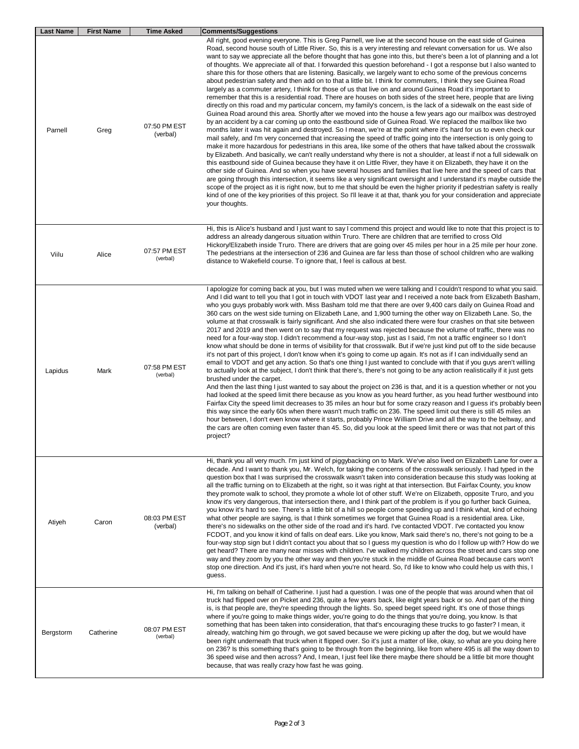| Last Name | <b>First Name</b> | <b>Time Asked</b>        | <b>Comments/Suggestions</b>                                                                                                                                                                                                                                                                                                                                                                                                                                                                                                                                                                                                                                                                                                                                                                                                                                                                                                                                                                                                                                                                                                                                                                                                                                                                                                                                                                                                                                                                                                                                                                                                                                                                                                                                                                                                                                                                                                                                                                                                                                                                                                                                                                                                                                                                                                                                                                                                                                                     |
|-----------|-------------------|--------------------------|---------------------------------------------------------------------------------------------------------------------------------------------------------------------------------------------------------------------------------------------------------------------------------------------------------------------------------------------------------------------------------------------------------------------------------------------------------------------------------------------------------------------------------------------------------------------------------------------------------------------------------------------------------------------------------------------------------------------------------------------------------------------------------------------------------------------------------------------------------------------------------------------------------------------------------------------------------------------------------------------------------------------------------------------------------------------------------------------------------------------------------------------------------------------------------------------------------------------------------------------------------------------------------------------------------------------------------------------------------------------------------------------------------------------------------------------------------------------------------------------------------------------------------------------------------------------------------------------------------------------------------------------------------------------------------------------------------------------------------------------------------------------------------------------------------------------------------------------------------------------------------------------------------------------------------------------------------------------------------------------------------------------------------------------------------------------------------------------------------------------------------------------------------------------------------------------------------------------------------------------------------------------------------------------------------------------------------------------------------------------------------------------------------------------------------------------------------------------------------|
| Parnell   | Greg              | 07:50 PM EST<br>(verbal) | All right, good evening everyone. This is Greg Parnell, we live at the second house on the east side of Guinea<br>Road, second house south of Little River. So, this is a very interesting and relevant conversation for us. We also<br>want to say we appreciate all the before thought that has gone into this, but there's been a lot of planning and a lot<br>of thoughts. We appreciate all of that. I forwarded this question beforehand - I got a response but I also wanted to<br>share this for those others that are listening. Basically, we largely want to echo some of the previous concerns<br>about pedestrian safety and then add on to that a little bit. I think for commuters, I think they see Guinea Road<br>largely as a commuter artery, I think for those of us that live on and around Guinea Road it's important to<br>remember that this is a residential road. There are houses on both sides of the street here, people that are living<br>directly on this road and my particular concern, my family's concern, is the lack of a sidewalk on the east side of<br>Guinea Road around this area. Shortly after we moved into the house a few years ago our mailbox was destroyed<br>by an accident by a car coming up onto the eastbound side of Guinea Road. We replaced the mailbox like two<br>months later it was hit again and destroyed. So I mean, we're at the point where it's hard for us to even check our<br>mail safely, and I'm very concerned that increasing the speed of traffic going into the intersection is only going to<br>make it more hazardous for pedestrians in this area, like some of the others that have talked about the crosswalk<br>by Elizabeth. And basically, we can't really understand why there is not a shoulder, at least if not a full sidewalk on<br>this eastbound side of Guinea because they have it on Little River, they have it on Elizabeth, they have it on the<br>other side of Guinea. And so when you have several houses and families that live here and the speed of cars that<br>are going through this intersection, it seems like a very significant oversight and I understand it's maybe outside the<br>scope of the project as it is right now, but to me that should be even the higher priority if pedestrian safety is really<br>kind of one of the key priorities of this project. So I'll leave it at that, thank you for your consideration and appreciate<br>your thoughts. |
| Viilu     | Alice             | 07:57 PM EST<br>(verbal) | Hi, this is Alice's husband and I just want to say I commend this project and would like to note that this project is to<br>address an already dangerous situation within Truro. There are children that are terrified to cross Old<br>Hickory/Elizabeth inside Truro. There are drivers that are going over 45 miles per hour in a 25 mile per hour zone.<br>The pedestrians at the intersection of 236 and Guinea are far less than those of school children who are walking<br>distance to Wakefield course. To ignore that, I feel is callous at best.                                                                                                                                                                                                                                                                                                                                                                                                                                                                                                                                                                                                                                                                                                                                                                                                                                                                                                                                                                                                                                                                                                                                                                                                                                                                                                                                                                                                                                                                                                                                                                                                                                                                                                                                                                                                                                                                                                                      |
| Lapidus   | Mark              | 07:58 PM EST<br>(verbal) | I apologize for coming back at you, but I was muted when we were talking and I couldn't respond to what you said.<br>And I did want to tell you that I got in touch with VDOT last year and I received a note back from Elizabeth Basham,<br>who you guys probably work with. Miss Basham told me that there are over 9,400 cars daily on Guinea Road and<br>360 cars on the west side turning on Elizabeth Lane, and 1,900 turning the other way on Elizabeth Lane. So, the<br>volume at that crosswalk is fairly significant. And she also indicated there were four crashes on that site between<br>2017 and 2019 and then went on to say that my request was rejected because the volume of traffic, there was no<br>need for a four-way stop. I didn't recommend a four-way stop, just as I said, I'm not a traffic engineer so I don't<br>know what should be done in terms of visibility for that crosswalk. But if we're just kind put off to the side because<br>it's not part of this project, I don't know when it's going to come up again. It's not as if I can individually send an<br>email to VDOT and get any action. So that's one thing I just wanted to conclude with that if you guys aren't willing<br>to actually look at the subject, I don't think that there's, there's not going to be any action realistically if it just gets<br>brushed under the carpet.<br>And then the last thing I just wanted to say about the project on 236 is that, and it is a question whether or not you<br>had looked at the speed limit there because as you know as you heard further, as you head further westbound into<br>Fairfax City the speed limit decreases to 35 miles an hour but for some crazy reason and I guess it's probably been<br>this way since the early 60s when there wasn't much traffic on 236. The speed limit out there is still 45 miles an<br>hour between, I don't even know where it starts, probably Prince William Drive and all the way to the beltway, and<br>the cars are often coming even faster than 45. So, did you look at the speed limit there or was that not part of this<br>project?                                                                                                                                                                                                                                                                                                                                   |
| Atiyeh    | Caron             | 08:03 PM EST<br>(verbal) | Hi, thank you all very much. I'm just kind of piggybacking on to Mark. We've also lived on Elizabeth Lane for over a<br>decade. And I want to thank you, Mr. Welch, for taking the concerns of the crosswalk seriously. I had typed in the<br>question box that I was surprised the crosswalk wasn't taken into consideration because this study was looking at<br>all the traffic turning on to Elizabeth at the right, so it was right at that intersection. But Fairfax County, you know<br>they promote walk to school, they promote a whole lot of other stuff. We're on Elizabeth, opposite Truro, and you<br>know it's very dangerous, that intersection there, and I think part of the problem is if you go further back Guinea,<br>you know it's hard to see. There's a little bit of a hill so people come speeding up and I think what, kind of echoing<br>what other people are saying, is that I think sometimes we forget that Guinea Road is a residential area. Like,<br>there's no sidewalks on the other side of the road and it's hard. I've contacted VDOT. I've contacted you know<br>FCDOT, and you know it kind of falls on deaf ears. Like you know, Mark said there's no, there's not going to be a<br>four-way stop sign but I didn't contact you about that so I guess my question is who do I follow up with? How do we<br>get heard? There are many near misses with children. I've walked my children across the street and cars stop one<br>way and they zoom by you the other way and then you're stuck in the middle of Guinea Road because cars won't<br>stop one direction. And it's just, it's hard when you're not heard. So, I'd like to know who could help us with this, I<br>guess.                                                                                                                                                                                                                                                                                                                                                                                                                                                                                                                                                                                                                                                                                                                                                    |
| Bergstorm | Catherine         | 08:07 PM EST<br>(verbal) | Hi, I'm talking on behalf of Catherine. I just had a question. I was one of the people that was around when that oil<br>truck had flipped over on Picket and 236, quite a few years back, like eight years back or so. And part of the thing<br>is, is that people are, they're speeding through the lights. So, speed beget speed right. It's one of those things<br>where if you're going to make things wider, you're going to do the things that you're doing, you know. Is that<br>something that has been taken into consideration, that that's encouraging these trucks to go faster? I mean, it<br>already, watching him go through, we got saved because we were picking up after the dog, but we would have<br>been right underneath that truck when it flipped over. So it's just a matter of like, okay, so what are you doing here<br>on 236? Is this something that's going to be through from the beginning, like from where 495 is all the way down to<br>36 speed wise and then across? And, I mean, I just feel like there maybe there should be a little bit more thought<br>because, that was really crazy how fast he was going.                                                                                                                                                                                                                                                                                                                                                                                                                                                                                                                                                                                                                                                                                                                                                                                                                                                                                                                                                                                                                                                                                                                                                                                                                                                                                                                           |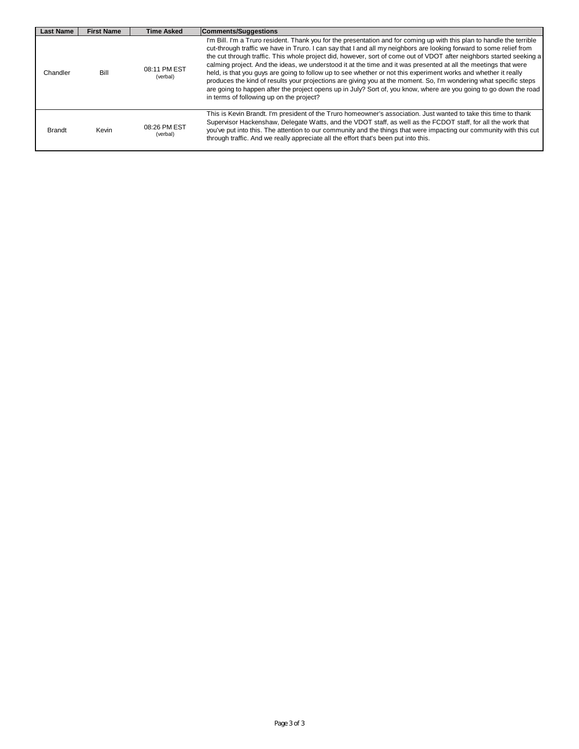| <b>Last Name</b>                                                                                                                          | <b>First Name</b> | <b>Time Asked</b>                                                                                                                                                                                                                                                                                                                                       | Comments/Suggestions                                                                                                                                                                                                                                                                                                                                                                                                                                                                                                                                                                                                                                                                                                                                                                                                                                                                               |
|-------------------------------------------------------------------------------------------------------------------------------------------|-------------------|---------------------------------------------------------------------------------------------------------------------------------------------------------------------------------------------------------------------------------------------------------------------------------------------------------------------------------------------------------|----------------------------------------------------------------------------------------------------------------------------------------------------------------------------------------------------------------------------------------------------------------------------------------------------------------------------------------------------------------------------------------------------------------------------------------------------------------------------------------------------------------------------------------------------------------------------------------------------------------------------------------------------------------------------------------------------------------------------------------------------------------------------------------------------------------------------------------------------------------------------------------------------|
| Chandler                                                                                                                                  | Bill              | 08:11 PM EST<br>(verbal)                                                                                                                                                                                                                                                                                                                                | I'm Bill. I'm a Truro resident. Thank you for the presentation and for coming up with this plan to handle the terrible<br>cut-through traffic we have in Truro. I can say that I and all my neighbors are looking forward to some relief from<br>the cut through traffic. This whole project did, however, sort of come out of VDOT after neighbors started seeking a<br>calming project. And the ideas, we understood it at the time and it was presented at all the meetings that were<br>held, is that you guys are going to follow up to see whether or not this experiment works and whether it really<br>produces the kind of results your projections are giving you at the moment. So, I'm wondering what specific steps<br>are going to happen after the project opens up in July? Sort of, you know, where are you going to go down the road<br>in terms of following up on the project? |
| 08:26 PM EST<br><b>Brandt</b><br>Kevin<br>(verbal)<br>through traffic. And we really appreciate all the effort that's been put into this. |                   | This is Kevin Brandt. I'm president of the Truro homeowner's association. Just wanted to take this time to thank<br>Supervisor Hackenshaw, Delegate Watts, and the VDOT staff, as well as the FCDOT staff, for all the work that<br>you've put into this. The attention to our community and the things that were impacting our community with this cut |                                                                                                                                                                                                                                                                                                                                                                                                                                                                                                                                                                                                                                                                                                                                                                                                                                                                                                    |